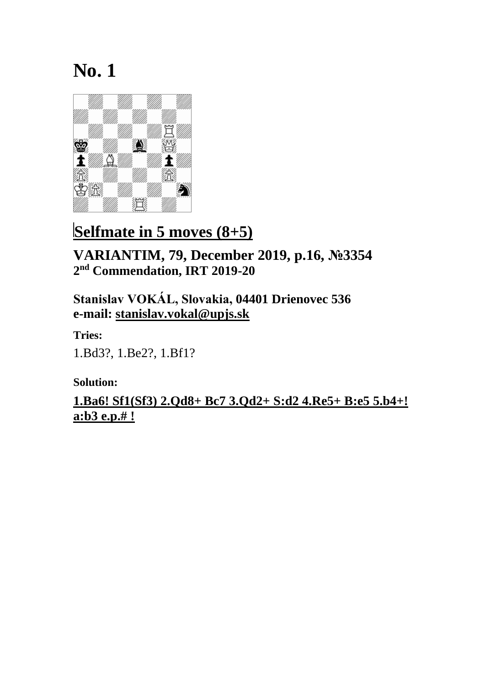

### **Selfmate in 5 moves (8+5)**

**VARIANTIM, 79, December 2019, p.16, №3354 2 nd Commendation, IRT 2019-20**

**Stanislav VOKÁL, Slovakia, 04401 Drienovec 536 e-mail: [stanislav.vokal@upjs.sk](mailto:stanislav.vokal@upjs.sk)**

**Tries:** 1.Bd3?, 1.Be2?, 1.Bf1?

**Solution:**

**1.Ba6! Sf1(Sf3) 2.Qd8+ Bc7 3.Qd2+ S:d2 4.Re5+ B:e5 5.b4+! a:b3 e.p.# !**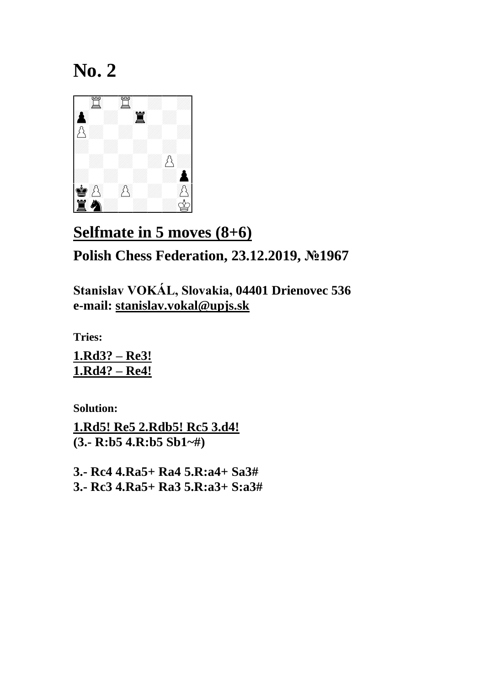

## **Selfmate in 5 moves (8+6) Polish Chess Federation, 23.12.2019, №1967**

**Stanislav VOKÁL, Slovakia, 04401 Drienovec 536 e-mail: [stanislav.vokal@upjs.sk](mailto:stanislav.vokal@upjs.sk)**

**Tries:**

**1.Rd3? – Re3! 1.Rd4? – Re4!**

**Solution:**

**1.Rd5! Re5 2.Rdb5! Rc5 3.d4! (3.- R:b5 4.R:b5 Sb1~#)**

**3.- Rc4 4.Ra5+ Ra4 5.R:a4+ Sa3# 3.- Rc3 4.Ra5+ Ra3 5.R:a3+ S:a3#**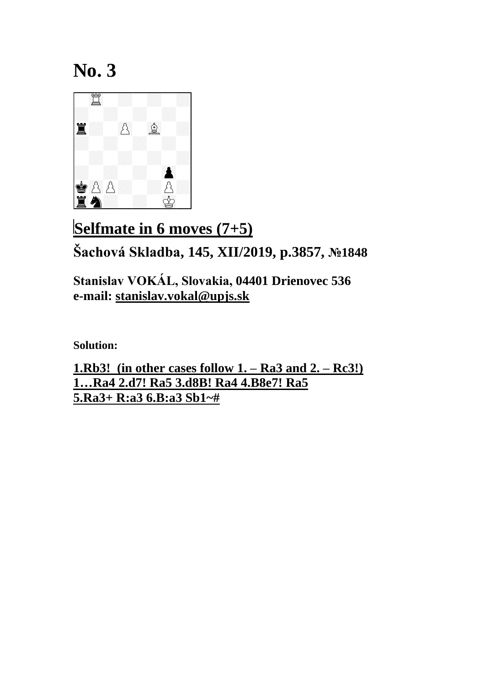

# **Selfmate in 6 moves (7+5) Šachová Skladba, 145, XII/2019, p.3857, №1848**

**Stanislav VOKÁL, Slovakia, 04401 Drienovec 536 e-mail: [stanislav.vokal@upjs.sk](mailto:stanislav.vokal@upjs.sk)**

**Solution:**

**1.Rb3! (in other cases follow 1. – Ra3 and 2. – Rc3!) 1…Ra4 2.d7! Ra5 3.d8B! Ra4 4.B8e7! Ra5 5.Ra3+ R:a3 6.B:a3 Sb1~#**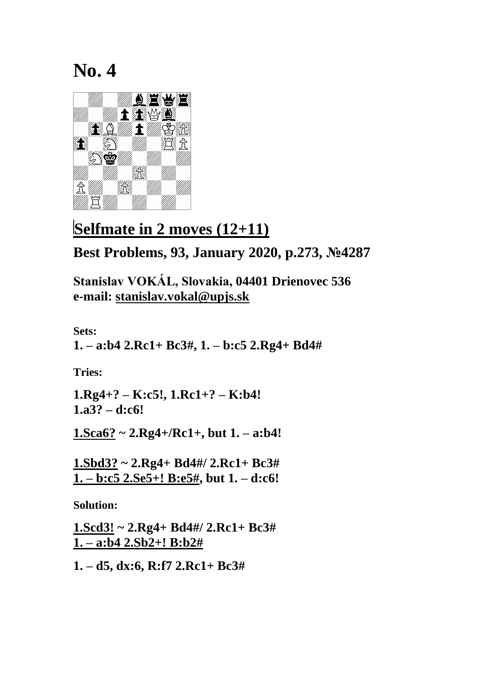

#### **Selfmate in 2 moves (12+11)**

**Best Problems, 93, January 2020, p.273, №4287**

**Stanislav VOKÁL, Slovakia, 04401 Drienovec 536 e-mail: [stanislav.vokal@upjs.sk](mailto:stanislav.vokal@upjs.sk)**

**Sets: 1. – a:b4 2.Rc1+ Bc3#, 1. – b:c5 2.Rg4+ Bd4#**

**Tries:**

**1.Rg4+? – K:c5!, 1.Rc1+? – K:b4! 1.a3? – d:c6!**

**1.Sca6? ~ 2.Rg4+/Rc1+, but 1. – a:b4!**

**1.Sbd3? ~ 2.Rg4+ Bd4#/ 2.Rc1+ Bc3# 1. – b:c5 2.Se5+! B:e5#, but 1. – d:c6!**

**Solution:**

**1.Scd3! ~ 2.Rg4+ Bd4#/ 2.Rc1+ Bc3# 1. – a:b4 2.Sb2+! B:b2#**

**1. – d5, dx:6, R:f7 2.Rc1+ Bc3#**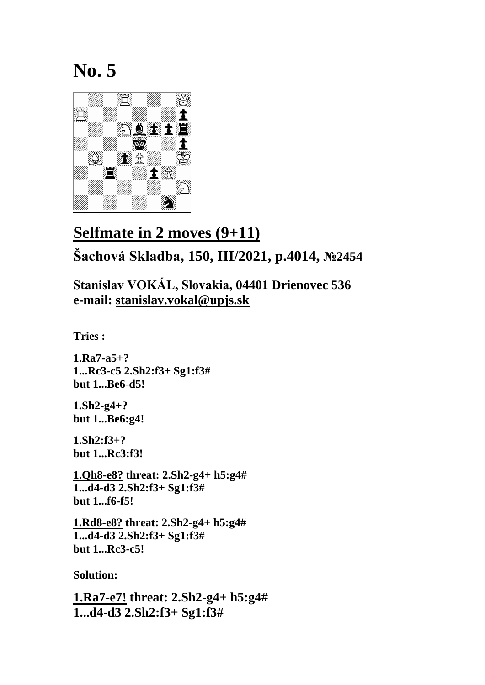

## **Selfmate in 2 moves (9+11) Šachová Skladba, 150, III/2021, p.4014, №2454**

**Stanislav VOKÁL, Slovakia, 04401 Drienovec 536 e-mail: [stanislav.vokal@upjs.sk](mailto:stanislav.vokal@upjs.sk)**

**Tries :**

**1.Ra7-a5+? 1...Rc3-c5 2.Sh2:f3+ Sg1:f3# but 1...Be6-d5!**

**1.Sh2-g4+? but 1...Be6:g4!**

**1.Sh2:f3+? but 1...Rc3:f3!**

**1.Qh8-e8? threat: 2.Sh2-g4+ h5:g4# 1...d4-d3 2.Sh2:f3+ Sg1:f3# but 1...f6-f5!**

**1.Rd8-e8? threat: 2.Sh2-g4+ h5:g4# 1...d4-d3 2.Sh2:f3+ Sg1:f3# but 1...Rc3-c5!**

**Solution:**

**1.Ra7-e7! threat: 2.Sh2-g4+ h5:g4# 1...d4-d3 2.Sh2:f3+ Sg1:f3#**